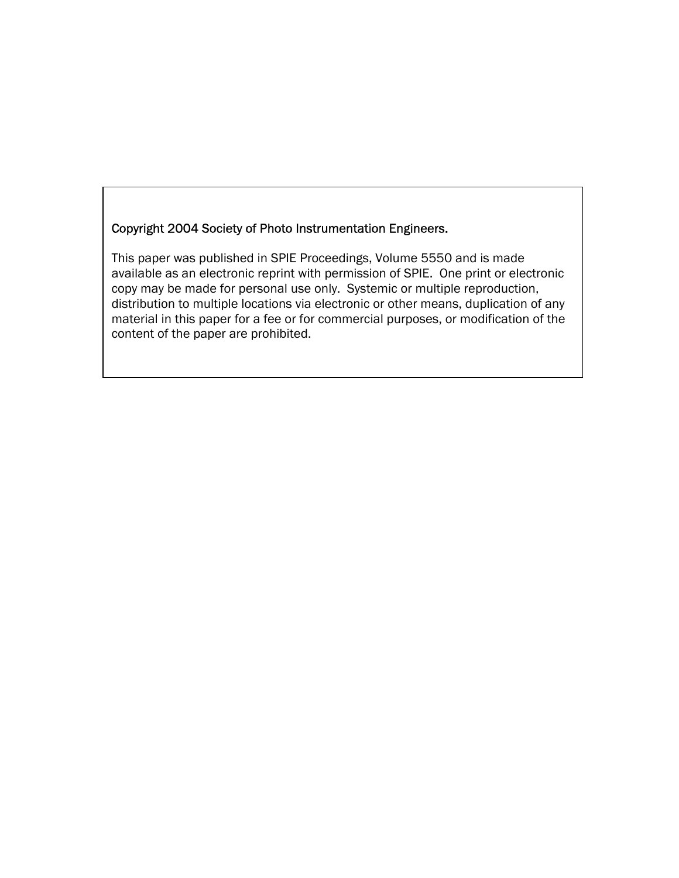## Copyright 2004 Society of Photo Instrumentation Engineers.

This paper was published in SPIE Proceedings, Volume 5550 and is made available as an electronic reprint with permission of SPIE. One print or electronic copy may be made for personal use only. Systemic or multiple reproduction, distribution to multiple locations via electronic or other means, duplication of any material in this paper for a fee or for commercial purposes, or modification of the content of the paper are prohibited.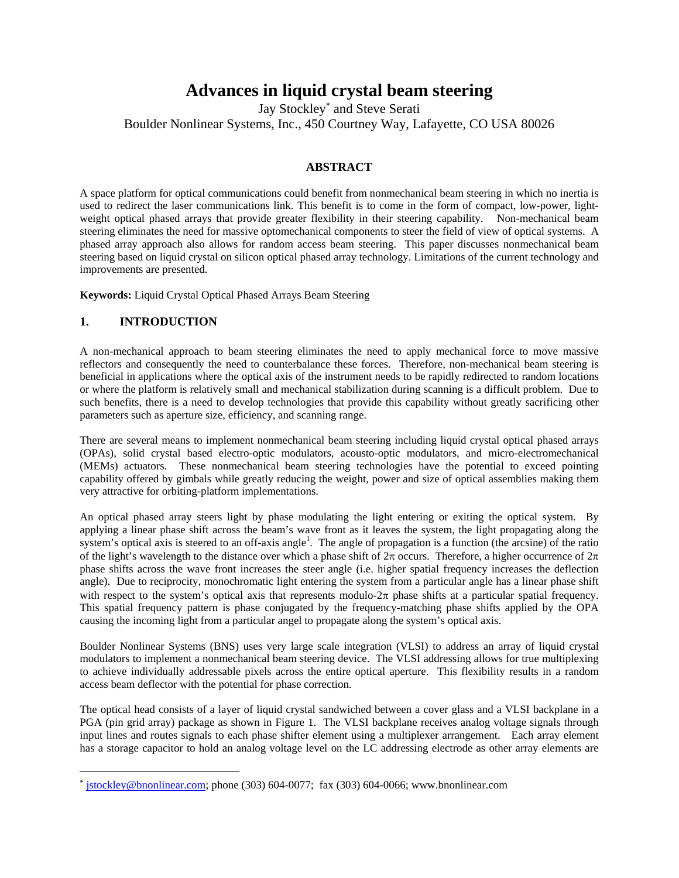# **Advances in liquid crystal beam steering**

Jay Stockley<sup>\*</sup> and Steve Serati Boulder Nonlinear Systems, Inc., 450 Courtney Way, Lafayette, CO USA 80026

### **ABSTRACT**

A space platform for optical communications could benefit from nonmechanical beam steering in which no inertia is used to redirect the laser communications link. This benefit is to come in the form of compact, low-power, lightweight optical phased arrays that provide greater flexibility in their steering capability. Non-mechanical beam steering eliminates the need for massive optomechanical components to steer the field of view of optical systems. A phased array approach also allows for random access beam steering. This paper discusses nonmechanical beam steering based on liquid crystal on silicon optical phased array technology. Limitations of the current technology and improvements are presented.

**Keywords:** Liquid Crystal Optical Phased Arrays Beam Steering

#### **1. INTRODUCTION**

 $\overline{a}$ 

A non-mechanical approach to beam steering eliminates the need to apply mechanical force to move massive reflectors and consequently the need to counterbalance these forces. Therefore, non-mechanical beam steering is beneficial in applications where the optical axis of the instrument needs to be rapidly redirected to random locations or where the platform is relatively small and mechanical stabilization during scanning is a difficult problem. Due to such benefits, there is a need to develop technologies that provide this capability without greatly sacrificing other parameters such as aperture size, efficiency, and scanning range.

There are several means to implement nonmechanical beam steering including liquid crystal optical phased arrays (OPAs), solid crystal based electro-optic modulators, acousto-optic modulators, and micro-electromechanical (MEMs) actuators. These nonmechanical beam steering technologies have the potential to exceed pointing capability offered by gimbals while greatly reducing the weight, power and size of optical assemblies making them very attractive for orbiting-platform implementations.

An optical phased array steers light by phase modulating the light entering or exiting the optical system. By applying a linear phase shift across the beam's wave front as it leaves the system, the light propagating along the system's optical axis is steered to an off-axis angle<sup>1</sup>. The angle of propagation is a function (the arcsine) of the ratio of the light's wavelength to the distance over which a phase shift of  $2\pi$  occurs. Therefore, a higher occurrence of  $2\pi$ phase shifts across the wave front increases the steer angle (i.e. higher spatial frequency increases the deflection angle). Due to reciprocity, monochromatic light entering the system from a particular angle has a linear phase shift with respect to the system's optical axis that represents modulo- $2\pi$  phase shifts at a particular spatial frequency. This spatial frequency pattern is phase conjugated by the frequency-matching phase shifts applied by the OPA causing the incoming light from a particular angel to propagate along the system's optical axis.

Boulder Nonlinear Systems (BNS) uses very large scale integration (VLSI) to address an array of liquid crystal modulators to implement a nonmechanical beam steering device. The VLSI addressing allows for true multiplexing to achieve individually addressable pixels across the entire optical aperture. This flexibility results in a random access beam deflector with the potential for phase correction.

The optical head consists of a layer of liquid crystal sandwiched between a cover glass and a VLSI backplane in a PGA (pin grid array) package as shown in Figure 1. The VLSI backplane receives analog voltage signals through input lines and routes signals to each phase shifter element using a multiplexer arrangement. Each array element has a storage capacitor to hold an analog voltage level on the LC addressing electrode as other array elements are

<span id="page-1-0"></span><sup>∗</sup> jstockley@bnonlinear.com; phone (303) 604-0077; fax (303) 604-0066; www.bnonlinear.com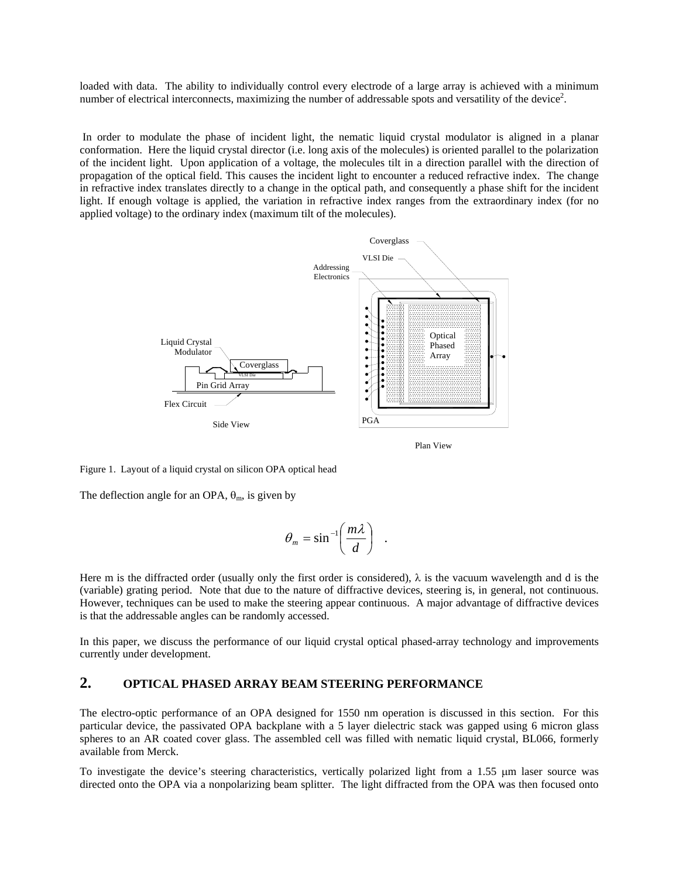loaded with data. The ability to individually control every electrode of a large array is achieved with a minimum number of electrical interconnects, maximizing the number of addressable spots and versatility of the device<sup>2</sup>.

 In order to modulate the phase of incident light, the nematic liquid crystal modulator is aligned in a planar conformation. Here the liquid crystal director (i.e. long axis of the molecules) is oriented parallel to the polarization of the incident light. Upon application of a voltage, the molecules tilt in a direction parallel with the direction of propagation of the optical field. This causes the incident light to encounter a reduced refractive index. The change in refractive index translates directly to a change in the optical path, and consequently a phase shift for the incident light. If enough voltage is applied, the variation in refractive index ranges from the extraordinary index (for no applied voltage) to the ordinary index (maximum tilt of the molecules).



Plan View

Figure 1.Layout of a liquid crystal on silicon OPA optical head

The deflection angle for an OPA,  $\theta_m$ , is given by

$$
\theta_m = \sin^{-1}\left(\frac{m\lambda}{d}\right) .
$$

Here m is the diffracted order (usually only the first order is considered),  $\lambda$  is the vacuum wavelength and d is the (variable) grating period. Note that due to the nature of diffractive devices, steering is, in general, not continuous. However, techniques can be used to make the steering appear continuous. A major advantage of diffractive devices is that the addressable angles can be randomly accessed.

In this paper, we discuss the performance of our liquid crystal optical phased-array technology and improvements currently under development.

## **2. OPTICAL PHASED ARRAY BEAM STEERING PERFORMANCE**

The electro-optic performance of an OPA designed for 1550 nm operation is discussed in this section. For this particular device, the passivated OPA backplane with a 5 layer dielectric stack was gapped using 6 micron glass spheres to an AR coated cover glass. The assembled cell was filled with nematic liquid crystal, BL066, formerly available from Merck.

To investigate the device's steering characteristics, vertically polarized light from a 1.55 µm laser source was directed onto the OPA via a nonpolarizing beam splitter. The light diffracted from the OPA was then focused onto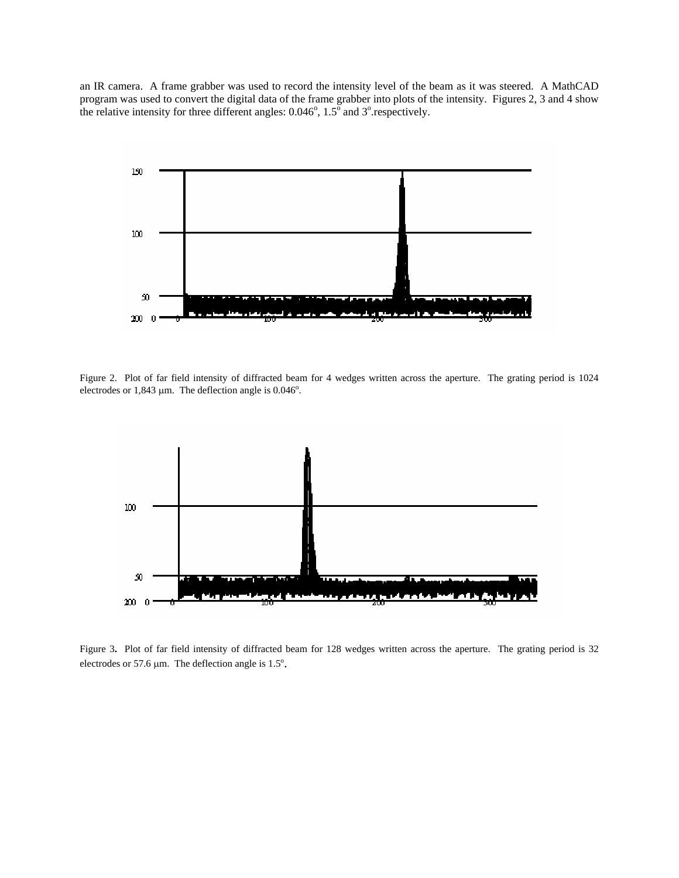an IR camera. A frame grabber was used to record the intensity level of the beam as it was steered. A MathCAD program was used to convert the digital data of the frame grabber into plots of the intensity. Figures 2, 3 and 4 show the relative intensity for three different angles:  $0.046^{\circ}$ ,  $1.5^{\circ}$  and  $3^{\circ}$  respectively.



Figure 2. Plot of far field intensity of diffracted beam for 4 wedges written across the aperture. The grating period is 1024 electrodes or  $1,843 \mu$ m. The deflection angle is  $0.046^{\circ}$ .



Figure 3. Plot of far field intensity of diffracted beam for 128 wedges written across the aperture. The grating period is 32 electrodes or 57.6  $\mu$ m. The deflection angle is 1.5°.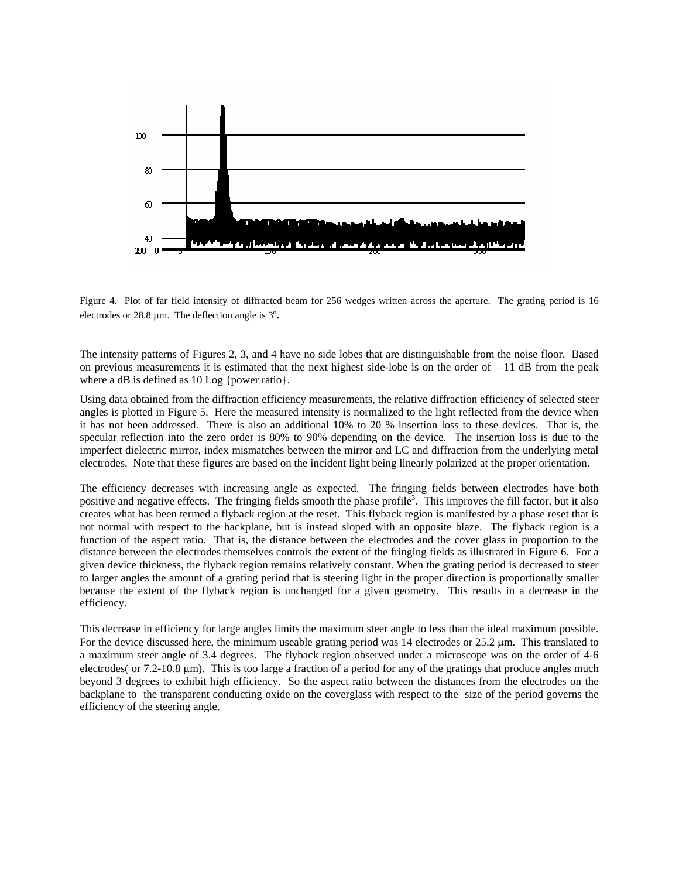

Figure 4. Plot of far field intensity of diffracted beam for 256 wedges written across the aperture. The grating period is 16 electrodes or 28.8  $\mu$ m. The deflection angle is 3<sup>o</sup>.

The intensity patterns of Figures 2, 3, and 4 have no side lobes that are distinguishable from the noise floor. Based on previous measurements it is estimated that the next highest side-lobe is on the order of  $-11$  dB from the peak where a dB is defined as 10 Log {power ratio}.

Using data obtained from the diffraction efficiency measurements, the relative diffraction efficiency of selected steer angles is plotted in Figure 5. Here the measured intensity is normalized to the light reflected from the device when it has not been addressed. There is also an additional 10% to 20 % insertion loss to these devices. That is, the specular reflection into the zero order is 80% to 90% depending on the device. The insertion loss is due to the imperfect dielectric mirror, index mismatches between the mirror and LC and diffraction from the underlying metal electrodes. Note that these figures are based on the incident light being linearly polarized at the proper orientation.

The efficiency decreases with increasing angle as expected. The fringing fields between electrodes have both positive and negative effects. The fringing fields smooth the phase profile<sup>3</sup>. This improves the fill factor, but it also creates what has been termed a flyback region at the reset. This flyback region is manifested by a phase reset that is not normal with respect to the backplane, but is instead sloped with an opposite blaze. The flyback region is a function of the aspect ratio. That is, the distance between the electrodes and the cover glass in proportion to the distance between the electrodes themselves controls the extent of the fringing fields as illustrated in Figure 6. For a given device thickness, the flyback region remains relatively constant. When the grating period is decreased to steer to larger angles the amount of a grating period that is steering light in the proper direction is proportionally smaller because the extent of the flyback region is unchanged for a given geometry. This results in a decrease in the efficiency.

This decrease in efficiency for large angles limits the maximum steer angle to less than the ideal maximum possible. For the device discussed here, the minimum useable grating period was 14 electrodes or 25.2 µm. This translated to a maximum steer angle of 3.4 degrees. The flyback region observed under a microscope was on the order of 4-6 electrodes( or  $7.2-10.8 \mu m$ ). This is too large a fraction of a period for any of the gratings that produce angles much beyond 3 degrees to exhibit high efficiency. So the aspect ratio between the distances from the electrodes on the backplane to the transparent conducting oxide on the coverglass with respect to the size of the period governs the efficiency of the steering angle.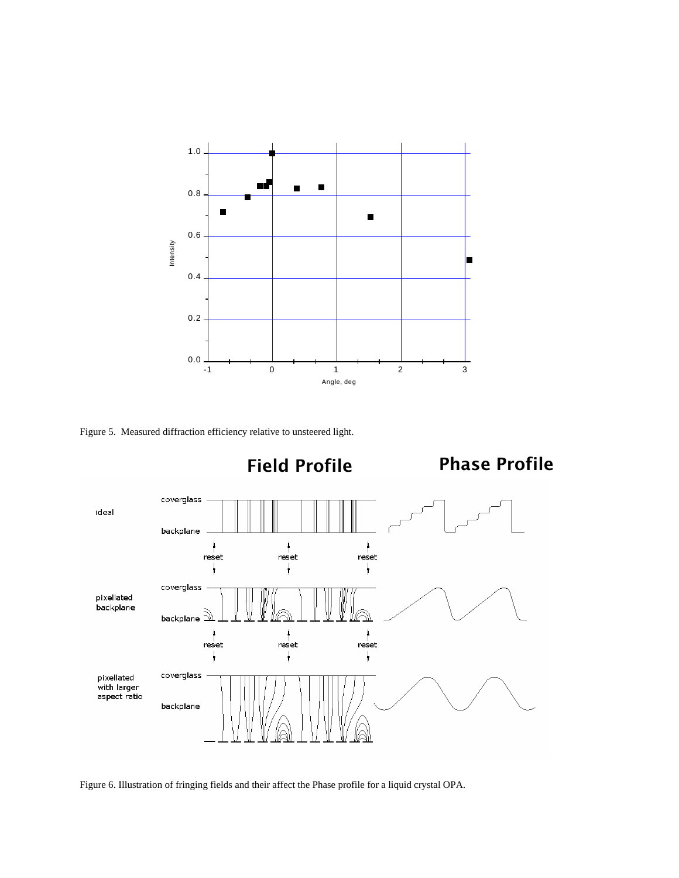

Figure 5. Measured diffraction efficiency relative to unsteered light.



Figure 6. Illustration of fringing fields and their affect the Phase profile for a liquid crystal OPA.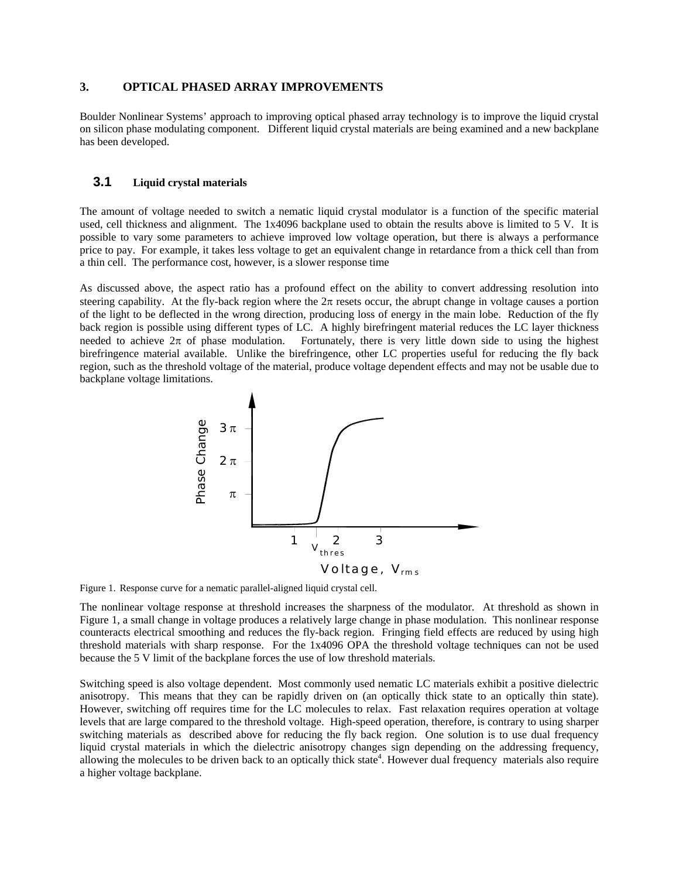#### **3. OPTICAL PHASED ARRAY IMPROVEMENTS**

Boulder Nonlinear Systems' approach to improving optical phased array technology is to improve the liquid crystal on silicon phase modulating component. Different liquid crystal materials are being examined and a new backplane has been developed.

#### **3.1 Liquid crystal materials**

The amount of voltage needed to switch a nematic liquid crystal modulator is a function of the specific material used, cell thickness and alignment. The 1x4096 backplane used to obtain the results above is limited to 5 V. It is possible to vary some parameters to achieve improved low voltage operation, but there is always a performance price to pay. For example, it takes less voltage to get an equivalent change in retardance from a thick cell than from a thin cell. The performance cost, however, is a slower response time

<span id="page-6-0"></span>As discussed above, the aspect ratio has a profound effect on the ability to convert addressing resolution into steering capability. At the fly-back region where the  $2\pi$  resets occur, the abrupt change in voltage causes a portion of the light to be deflected in the wrong direction, producing loss of energy in the main lobe. Reduction of the fly back region is possible using different types of LC. A highly birefringent material reduces the LC layer thickness needed to achieve  $2\pi$  of phase modulation. Fortunately, there is very little down side to using the highest birefringence material available. Unlike the birefringence, other LC properties useful for reducing the fly back region, such as the threshold voltage of the material, produce voltage dependent effects and may not be usable due to backplane voltage limitations.



Figure 1. Response curve for a nematic parallel-aligned liquid crystal cell.

The nonlinear voltage response at threshold increases the sharpness of the modulator. At threshold as shown in [Figure 1,](#page-6-0) a small change in voltage produces a relatively large change in phase modulation. This nonlinear response counteracts electrical smoothing and reduces the fly-back region. Fringing field effects are reduced by using high threshold materials with sharp response. For the 1x4096 OPA the threshold voltage techniques can not be used because the 5 V limit of the backplane forces the use of low threshold materials.

Switching speed is also voltage dependent. Most commonly used nematic LC materials exhibit a positive dielectric anisotropy. This means that they can be rapidly driven on (an optically thick state to an optically thin state). However, switching off requires time for the LC molecules to relax. Fast relaxation requires operation at voltage levels that are large compared to the threshold voltage. High-speed operation, therefore, is contrary to using sharper switching materials as described above for reducing the fly back region. One solution is to use dual frequency liquid crystal materials in which the dielectric anisotropy changes sign depending on the addressing frequency, allowing the molecules to be driven back to an optically thick state<sup>4</sup>. However dual frequency materials also require a higher voltage backplane.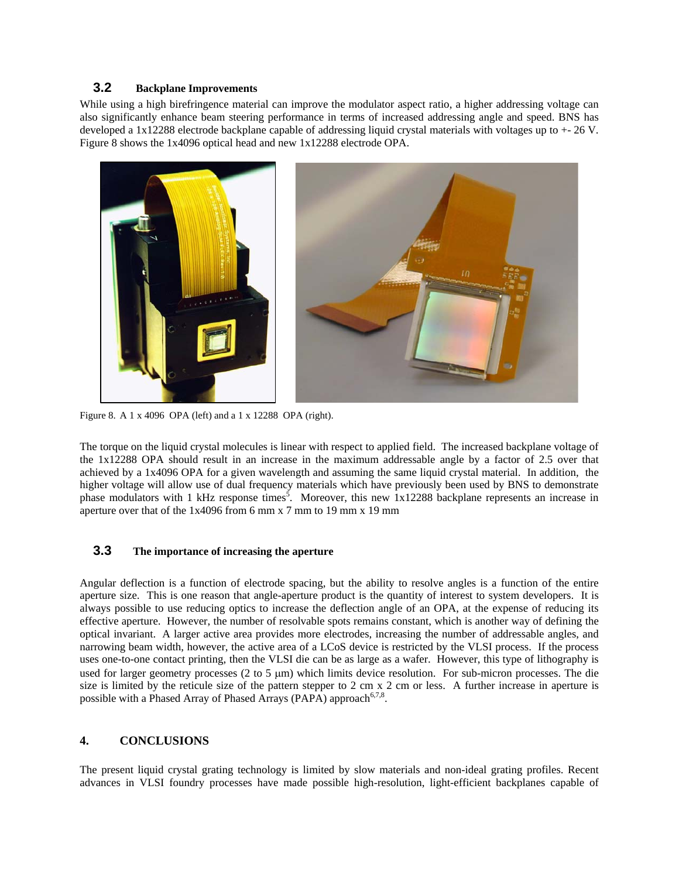### **3.2 Backplane Improvements**

While using a high birefringence material can improve the modulator aspect ratio, a higher addressing voltage can also significantly enhance beam steering performance in terms of increased addressing angle and speed. BNS has developed a 1x12288 electrode backplane capable of addressing liquid crystal materials with voltages up to +- 26 V. Figure 8 shows the 1x4096 optical head and new 1x12288 electrode OPA.



Figure 8. A 1 x 4096 OPA (left) and a 1 x 12288 OPA (right).

The torque on the liquid crystal molecules is linear with respect to applied field. The increased backplane voltage of the 1x12288 OPA should result in an increase in the maximum addressable angle by a factor of 2.5 over that achieved by a 1x4096 OPA for a given wavelength and assuming the same liquid crystal material. In addition, the higher voltage will allow use of dual frequency materials which have previously been used by BNS to demonstrate phase modulators with 1 kHz response times<sup>5</sup>. Moreover, this new 1x12288 backplane represents an increase in aperture over that of the 1x4096 from 6 mm x 7 mm to 19 mm x 19 mm

#### **3.3 The importance of increasing the aperture**

Angular deflection is a function of electrode spacing, but the ability to resolve angles is a function of the entire aperture size. This is one reason that angle-aperture product is the quantity of interest to system developers. It is always possible to use reducing optics to increase the deflection angle of an OPA, at the expense of reducing its effective aperture. However, the number of resolvable spots remains constant, which is another way of defining the optical invariant. A larger active area provides more electrodes, increasing the number of addressable angles, and narrowing beam width, however, the active area of a LCoS device is restricted by the VLSI process. If the process uses one-to-one contact printing, then the VLSI die can be as large as a wafer. However, this type of lithography is used for larger geometry processes (2 to 5 µm) which limits device resolution. For sub-micron processes. The die size is limited by the reticule size of the pattern stepper to 2 cm x 2 cm or less. A further increase in aperture is possible with a Phased Array of Phased Arrays (PAPA) approach<sup>6,7,8</sup>.

#### **4. CONCLUSIONS**

The present liquid crystal grating technology is limited by slow materials and non-ideal grating profiles. Recent advances in VLSI foundry processes have made possible high-resolution, light-efficient backplanes capable of